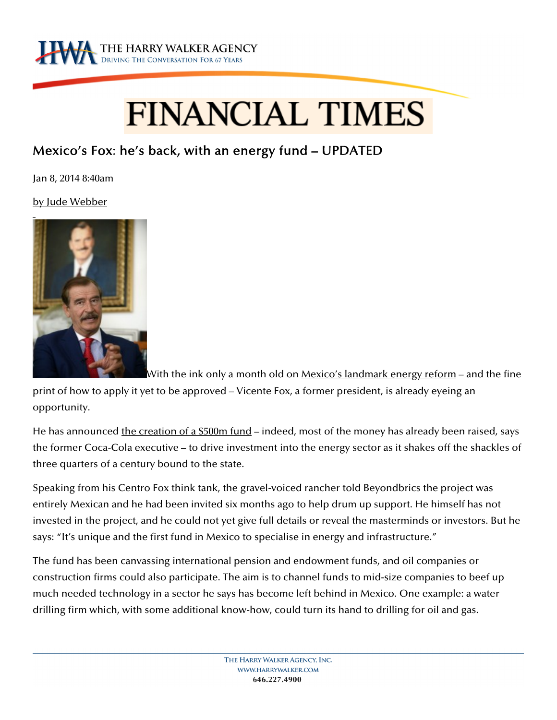

## **FINANCIAL TIMES**

## Mexico's Fox: he's back, with an energy fund – UPDATED

Jan 8, 2014 8:40am

by Jude Webber



With the ink only a month old on <u>Mexico's landmark energy reform</u> – and the fine

print of how to apply it yet to be approved – Vicente Fox, a former president, is already eyeing an opportunity.

He has announced the creation of a \$500m fund – indeed, most of the money has already been raised, says the former Coca-Cola executive – to drive investment into the energy sector as it shakes off the shackles of three quarters of a century bound to the state.

Speaking from his Centro Fox think tank, the gravel-voiced rancher told Beyondbrics the project was entirely Mexican and he had been invited six months ago to help drum up support. He himself has not invested in the project, and he could not yet give full details or reveal the masterminds or investors. But he says: "It's unique and the first fund in Mexico to specialise in energy and infrastructure."

The fund has been canvassing international pension and endowment funds, and oil companies or construction firms could also participate. The aim is to channel funds to mid-size companies to beef up much needed technology in a sector he says has become left behind in Mexico. One example: a water drilling firm which, with some additional know-how, could turn its hand to drilling for oil and gas.